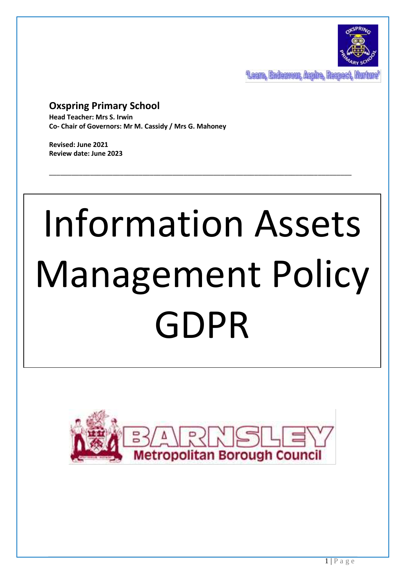

**Team, Endemont Aspire, Respect** 

# **Oxspring Primary School**

**Head Teacher: Mrs S. Irwin Co- Chair of Governors: Mr M. Cassidy / Mrs G. Mahoney**

**Revised: June 2021 Review date: June 2023**

# Information Assets Management Policy GDPR

\_\_\_\_\_\_\_\_\_\_\_\_\_\_\_\_\_\_\_\_\_\_\_\_\_\_\_\_\_\_\_\_\_\_\_\_\_\_\_\_\_\_\_\_\_\_\_\_\_\_\_\_\_\_\_\_\_\_\_\_\_\_\_\_\_\_\_\_\_\_\_\_\_\_\_\_\_\_\_\_\_

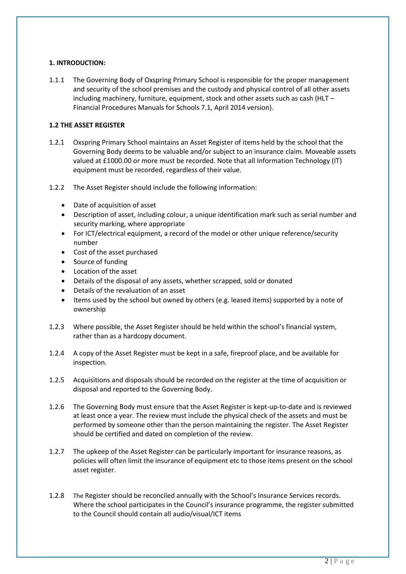#### **1. INTRODUCTION:**

1.1.1 The Governing Body of Oxspring Primary School is responsible for the proper management and security of the school premises and the custody and physical control of all other assets including machinery, furniture, equipment, stock and other assets such as cash (HLT – Financial Procedures Manuals for Schools 7.1, April 2014 version).

# **1.2 THE ASSET REGISTER**

- 1.2.1 Oxspring Primary School maintains an Asset Register of items held by the school that the Governing Body deems to be valuable and/or subject to an insurance claim. Moveable assets valued at £1000.00 or more must be recorded. Note that all Information Technology (IT) equipment must be recorded, regardless of their value.
- 1.2.2 The Asset Register should include the following information:
	- Date of acquisition of asset
	- Description of asset, including colour, a unique identification mark such as serial number and security marking, where appropriate
	- For ICT/electrical equipment, a record of the model or other unique reference/security number
	- Cost of the asset purchased
	- Source of funding
	- Location of the asset
	- Details of the disposal of any assets, whether scrapped, sold or donated
	- Details of the revaluation of an asset
	- Items used by the school but owned by others (e.g. leased items) supported by a note of ownership
- 1.2.3 Where possible, the Asset Register should be held within the school's financial system, rather than as a hardcopy document.
- 1.2.4 A copy of the Asset Register must be kept in a safe, fireproof place, and be available for inspection.
- 1.2.5 Acquisitions and disposals should be recorded on the register at the time of acquisition or disposal and reported to the Governing Body.
- 1.2.6 The Governing Body must ensure that the Asset Register is kept-up-to-date and is reviewed at least once a year. The review must include the physical check of the assets and must be performed by someone other than the person maintaining the register. The Asset Register should be certified and dated on completion of the review.
- 1.2.7 The upkeep of the Asset Register can be particularly important for insurance reasons, as policies will often limit the insurance of equipment etc to those items present on the school asset register.
- 1.2.8 The Register should be reconciled annually with the School's Insurance Services records. Where the school participates in the Council's insurance programme, the register submitted to the Council should contain all audio/visual/ICT items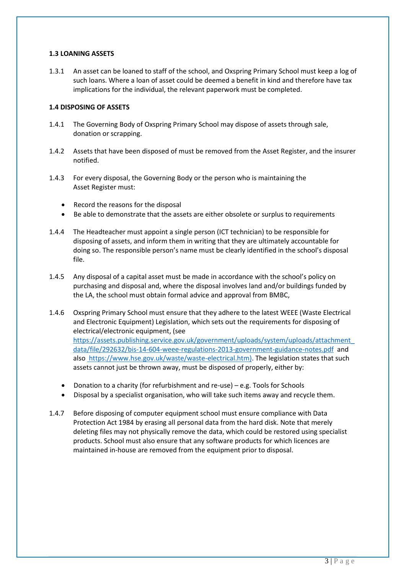#### **1.3 LOANING ASSETS**

1.3.1 An asset can be loaned to staff of the school, and Oxspring Primary School must keep a log of such loans. Where a loan of asset could be deemed a benefit in kind and therefore have tax implications for the individual, the relevant paperwork must be completed.

# **1.4 DISPOSING OF ASSETS**

- 1.4.1 The Governing Body of Oxspring Primary School may dispose of assets through sale, donation or scrapping.
- 1.4.2 Assets that have been disposed of must be removed from the Asset Register, and the insurer notified.
- 1.4.3 For every disposal, the Governing Body or the person who is maintaining the Asset Register must:
	- Record the reasons for the disposal
	- Be able to demonstrate that the assets are either obsolete or surplus to requirements
- 1.4.4 The Headteacher must appoint a single person (ICT technician) to be responsible for disposing of assets, and inform them in writing that they are ultimately accountable for doing so. The responsible person's name must be clearly identified in the school's disposal file.
- 1.4.5 Any disposal of a capital asset must be made in accordance with the school's policy on purchasing and disposal and, where the disposal involves land and/or buildings funded by the LA, the school must obtain formal advice and approval from BMBC,
- 1.4.6 Oxspring Primary School must ensure that they adhere to the latest WEEE (Waste Electrical and Electronic Equipment) Legislation, which sets out the requirements for disposing of electrical/electronic equipment, (see [https://assets.publishing.service.gov.uk/government/uploads/system/uploads/attachment\\_](https://assets.publishing.service.gov.uk/government/uploads/system/uploads/attachment_data/file/292632/bis-14-604-weee-regulations-2013-government-guidance-notes.pdf) [data/file/292632/bis-14-604-weee-regulations-2013-government-guidance-notes.pdf](https://assets.publishing.service.gov.uk/government/uploads/system/uploads/attachment_data/file/292632/bis-14-604-weee-regulations-2013-government-guidance-notes.pdf) [and](file:///C:/Users/S.Irwin/AppData/Local/Microsoft/Windows/INetCache/Content.Outlook/F16CJB8Z/and%20also%20%20https:/www.hse.gov.uk/waste/waste-electrical.htm))  [also https://www.hse.gov.uk/waste/waste-electrical.htm\).](file:///C:/Users/S.Irwin/AppData/Local/Microsoft/Windows/INetCache/Content.Outlook/F16CJB8Z/and%20also%20%20https:/www.hse.gov.uk/waste/waste-electrical.htm)) The legislation states that such assets cannot just be thrown away, must be disposed of properly, either by:
	- Donation to a charity (for refurbishment and re-use) e.g. Tools for Schools
	- Disposal by a specialist organisation, who will take such items away and recycle them.
- 1.4.7 Before disposing of computer equipment school must ensure compliance with Data Protection Act 1984 by erasing all personal data from the hard disk. Note that merely deleting files may not physically remove the data, which could be restored using specialist products. School must also ensure that any software products for which licences are maintained in-house are removed from the equipment prior to disposal.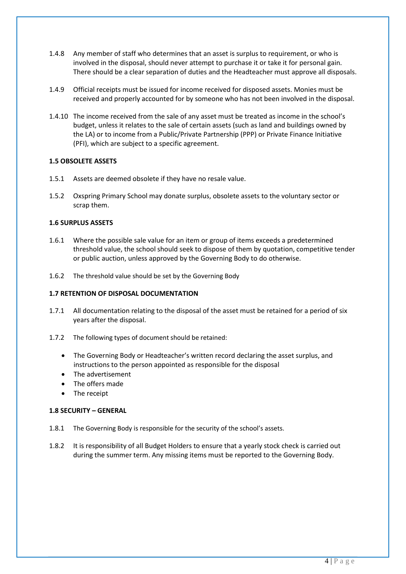- 1.4.8 Any member of staff who determines that an asset is surplus to requirement, or who is involved in the disposal, should never attempt to purchase it or take it for personal gain. There should be a clear separation of duties and the Headteacher must approve all disposals.
- 1.4.9 Official receipts must be issued for income received for disposed assets. Monies must be received and properly accounted for by someone who has not been involved in the disposal.
- 1.4.10 The income received from the sale of any asset must be treated as income in the school's budget, unless it relates to the sale of certain assets (such as land and buildings owned by the LA) or to income from a Public/Private Partnership (PPP) or Private Finance Initiative (PFI), which are subject to a specific agreement.

# **1.5 OBSOLETE ASSETS**

- 1.5.1 Assets are deemed obsolete if they have no resale value.
- 1.5.2 Oxspring Primary School may donate surplus, obsolete assets to the voluntary sector or scrap them.

# **1.6 SURPLUS ASSETS**

- 1.6.1 Where the possible sale value for an item or group of items exceeds a predetermined threshold value, the school should seek to dispose of them by quotation, competitive tender or public auction, unless approved by the Governing Body to do otherwise.
- 1.6.2 The threshold value should be set by the Governing Body

#### **1.7 RETENTION OF DISPOSAL DOCUMENTATION**

- 1.7.1 All documentation relating to the disposal of the asset must be retained for a period of six years after the disposal.
- 1.7.2 The following types of document should be retained:
	- The Governing Body or Headteacher's written record declaring the asset surplus, and instructions to the person appointed as responsible for the disposal
	- The advertisement
	- The offers made
	- The receipt

#### **1.8 SECURITY – GENERAL**

- 1.8.1 The Governing Body is responsible for the security of the school's assets.
- 1.8.2 It is responsibility of all Budget Holders to ensure that a yearly stock check is carried out during the summer term. Any missing items must be reported to the Governing Body.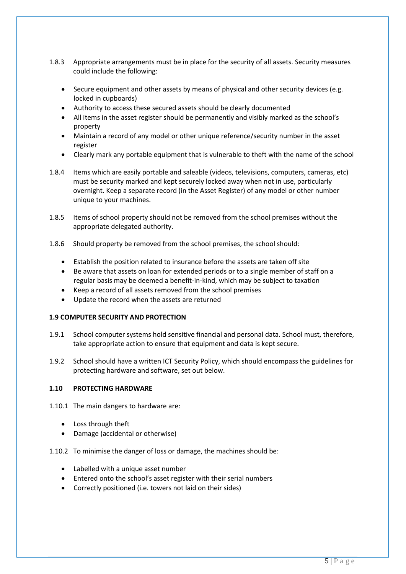- 1.8.3 Appropriate arrangements must be in place for the security of all assets. Security measures could include the following:
	- Secure equipment and other assets by means of physical and other security devices (e.g. locked in cupboards)
	- Authority to access these secured assets should be clearly documented
	- All items in the asset register should be permanently and visibly marked as the school's property
	- Maintain a record of any model or other unique reference/security number in the asset register
	- Clearly mark any portable equipment that is vulnerable to theft with the name of the school
- 1.8.4 Items which are easily portable and saleable (videos, televisions, computers, cameras, etc) must be security marked and kept securely locked away when not in use, particularly overnight. Keep a separate record (in the Asset Register) of any model or other number unique to your machines.
- 1.8.5 Items of school property should not be removed from the school premises without the appropriate delegated authority.
- 1.8.6 Should property be removed from the school premises, the school should:
	- Establish the position related to insurance before the assets are taken off site
	- Be aware that assets on loan for extended periods or to a single member of staff on a regular basis may be deemed a benefit-in-kind, which may be subject to taxation
	- Keep a record of all assets removed from the school premises
	- Update the record when the assets are returned

#### **1.9 COMPUTER SECURITY AND PROTECTION**

- 1.9.1 School computer systems hold sensitive financial and personal data. School must, therefore, take appropriate action to ensure that equipment and data is kept secure.
- 1.9.2 School should have a written ICT Security Policy, which should encompass the guidelines for protecting hardware and software, set out below.

#### **1.10 PROTECTING HARDWARE**

- 1.10.1 The main dangers to hardware are:
	- Loss through theft
	- Damage (accidental or otherwise)
- 1.10.2 To minimise the danger of loss or damage, the machines should be:
	- Labelled with a unique asset number
	- Entered onto the school's asset register with their serial numbers
	- Correctly positioned (i.e. towers not laid on their sides)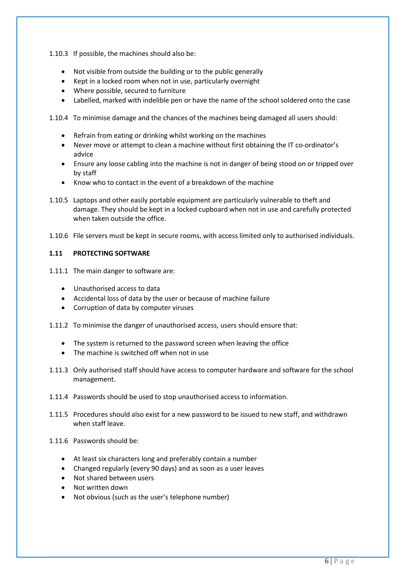1.10.3 If possible, the machines should also be:

- Not visible from outside the building or to the public generally
- Kept in a locked room when not in use, particularly overnight
- Where possible, secured to furniture
- Labelled, marked with indelible pen or have the name of the school soldered onto the case

1.10.4 To minimise damage and the chances of the machines being damaged all users should:

- Refrain from eating or drinking whilst working on the machines
- Never move or attempt to clean a machine without first obtaining the IT co-ordinator's advice
- Ensure any loose cabling into the machine is not in danger of being stood on or tripped over by staff
- Know who to contact in the event of a breakdown of the machine
- 1.10.5 Laptops and other easily portable equipment are particularly vulnerable to theft and damage. They should be kept in a locked cupboard when not in use and carefully protected when taken outside the office.
- 1.10.6 File servers must be kept in secure rooms, with access limited only to authorised individuals.

# **1.11 PROTECTING SOFTWARE**

- 1.11.1 The main danger to software are:
	- Unauthorised access to data
	- Accidental loss of data by the user or because of machine failure
	- Corruption of data by computer viruses
- 1.11.2 To minimise the danger of unauthorised access, users should ensure that:
	- The system is returned to the password screen when leaving the office
	- The machine is switched off when not in use
- 1.11.3 Only authorised staff should have access to computer hardware and software for the school management.
- 1.11.4 Passwords should be used to stop unauthorised access to information.
- 1.11.5 Procedures should also exist for a new password to be issued to new staff, and withdrawn when staff leave.
- 1.11.6 Passwords should be:
	- At least six characters long and preferably contain a number
	- Changed regularly (every 90 days) and as soon as a user leaves
	- Not shared between users
	- Not written down
	- Not obvious (such as the user's telephone number)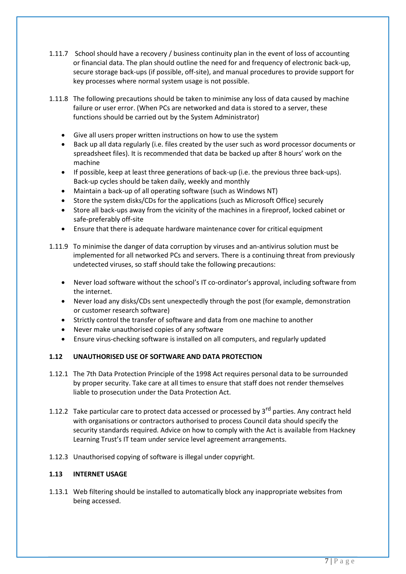- 1.11.7 School should have a recovery / business continuity plan in the event of loss of accounting or financial data. The plan should outline the need for and frequency of electronic back-up, secure storage back-ups (if possible, off-site), and manual procedures to provide support for key processes where normal system usage is not possible.
- 1.11.8 The following precautions should be taken to minimise any loss of data caused by machine failure or user error. (When PCs are networked and data is stored to a server, these functions should be carried out by the System Administrator)
	- Give all users proper written instructions on how to use the system
	- Back up all data regularly (i.e. files created by the user such as word processor documents or spreadsheet files). It is recommended that data be backed up after 8 hours' work on the machine
	- If possible, keep at least three generations of back-up (i.e. the previous three back-ups). Back-up cycles should be taken daily, weekly and monthly
	- Maintain a back-up of all operating software (such as Windows NT)
	- Store the system disks/CDs for the applications (such as Microsoft Office) securely
	- Store all back-ups away from the vicinity of the machines in a fireproof, locked cabinet or safe-preferably off-site
	- Ensure that there is adequate hardware maintenance cover for critical equipment

1.11.9 To minimise the danger of data corruption by viruses and an-antivirus solution must be implemented for all networked PCs and servers. There is a continuing threat from previously undetected viruses, so staff should take the following precautions:

- Never load software without the school's IT co-ordinator's approval, including software from the internet.
- Never load any disks/CDs sent unexpectedly through the post (for example, demonstration or customer research software)
- Strictly control the transfer of software and data from one machine to another
- Never make unauthorised copies of any software
- Ensure virus-checking software is installed on all computers, and regularly updated

#### **1.12 UNAUTHORISED USE OF SOFTWARE AND DATA PROTECTION**

- 1.12.1 The 7th Data Protection Principle of the 1998 Act requires personal data to be surrounded by proper security. Take care at all times to ensure that staff does not render themselves liable to prosecution under the Data Protection Act.
- 1.12.2 Take particular care to protect data accessed or processed by  $3<sup>rd</sup>$  parties. Any contract held with organisations or contractors authorised to process Council data should specify the security standards required. Advice on how to comply with the Act is available from Hackney Learning Trust's IT team under service level agreement arrangements.
- 1.12.3 Unauthorised copying of software is illegal under copyright.

#### **1.13 INTERNET USAGE**

1.13.1 Web filtering should be installed to automatically block any inappropriate websites from being accessed.